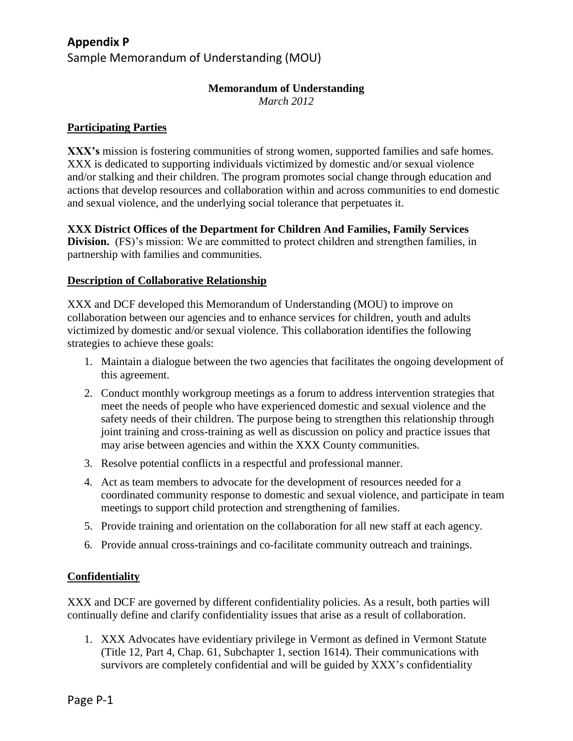# **Appendix P**

Sample Memorandum of Understanding (MOU)

## **Memorandum of Understanding**

*March 2012*

# **Participating Parties**

**XXX's** mission is fostering communities of strong women, supported families and safe homes. XXX is dedicated to supporting individuals victimized by domestic and/or sexual violence and/or stalking and their children. The program promotes social change through education and actions that develop resources and collaboration within and across communities to end domestic and sexual violence, and the underlying social tolerance that perpetuates it.

**XXX District Offices of the Department for Children And Families, Family Services Division.** (FS)'s mission: We are committed to protect children and strengthen families, in partnership with families and communities*.*

# **Description of Collaborative Relationship**

XXX and DCF developed this Memorandum of Understanding (MOU) to improve on collaboration between our agencies and to enhance services for children, youth and adults victimized by domestic and/or sexual violence. This collaboration identifies the following strategies to achieve these goals:

- 1. Maintain a dialogue between the two agencies that facilitates the ongoing development of this agreement.
- 2. Conduct monthly workgroup meetings as a forum to address intervention strategies that meet the needs of people who have experienced domestic and sexual violence and the safety needs of their children. The purpose being to strengthen this relationship through joint training and cross-training as well as discussion on policy and practice issues that may arise between agencies and within the XXX County communities.
- 3. Resolve potential conflicts in a respectful and professional manner.
- 4. Act as team members to advocate for the development of resources needed for a coordinated community response to domestic and sexual violence, and participate in team meetings to support child protection and strengthening of families.
- 5. Provide training and orientation on the collaboration for all new staff at each agency.
- 6. Provide annual cross-trainings and co-facilitate community outreach and trainings.

## **Confidentiality**

XXX and DCF are governed by different confidentiality policies. As a result, both parties will continually define and clarify confidentiality issues that arise as a result of collaboration.

1. XXX Advocates have evidentiary privilege in Vermont as defined in Vermont Statute (Title 12, Part 4, Chap. 61, Subchapter 1, section 1614). Their communications with survivors are completely confidential and will be guided by XXX's confidentiality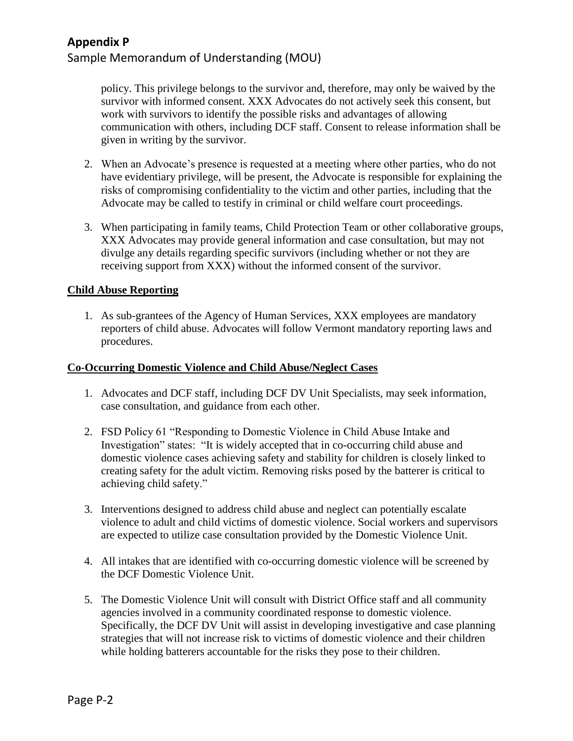# **Appendix P**

# Sample Memorandum of Understanding (MOU)

policy. This privilege belongs to the survivor and, therefore, may only be waived by the survivor with informed consent. XXX Advocates do not actively seek this consent, but work with survivors to identify the possible risks and advantages of allowing communication with others, including DCF staff. Consent to release information shall be given in writing by the survivor.

- 2. When an Advocate's presence is requested at a meeting where other parties, who do not have evidentiary privilege, will be present, the Advocate is responsible for explaining the risks of compromising confidentiality to the victim and other parties, including that the Advocate may be called to testify in criminal or child welfare court proceedings.
- 3. When participating in family teams, Child Protection Team or other collaborative groups, XXX Advocates may provide general information and case consultation, but may not divulge any details regarding specific survivors (including whether or not they are receiving support from XXX) without the informed consent of the survivor.

#### **Child Abuse Reporting**

1. As sub-grantees of the Agency of Human Services, XXX employees are mandatory reporters of child abuse. Advocates will follow Vermont mandatory reporting laws and procedures.

#### **Co-Occurring Domestic Violence and Child Abuse/Neglect Cases**

- 1. Advocates and DCF staff, including DCF DV Unit Specialists, may seek information, case consultation, and guidance from each other.
- 2. FSD Policy 61 "Responding to Domestic Violence in Child Abuse Intake and Investigation" states: "It is widely accepted that in co-occurring child abuse and domestic violence cases achieving safety and stability for children is closely linked to creating safety for the adult victim. Removing risks posed by the batterer is critical to achieving child safety."
- 3. Interventions designed to address child abuse and neglect can potentially escalate violence to adult and child victims of domestic violence. Social workers and supervisors are expected to utilize case consultation provided by the Domestic Violence Unit.
- 4. All intakes that are identified with co-occurring domestic violence will be screened by the DCF Domestic Violence Unit.
- 5. The Domestic Violence Unit will consult with District Office staff and all community agencies involved in a community coordinated response to domestic violence. Specifically, the DCF DV Unit will assist in developing investigative and case planning strategies that will not increase risk to victims of domestic violence and their children while holding batterers accountable for the risks they pose to their children.